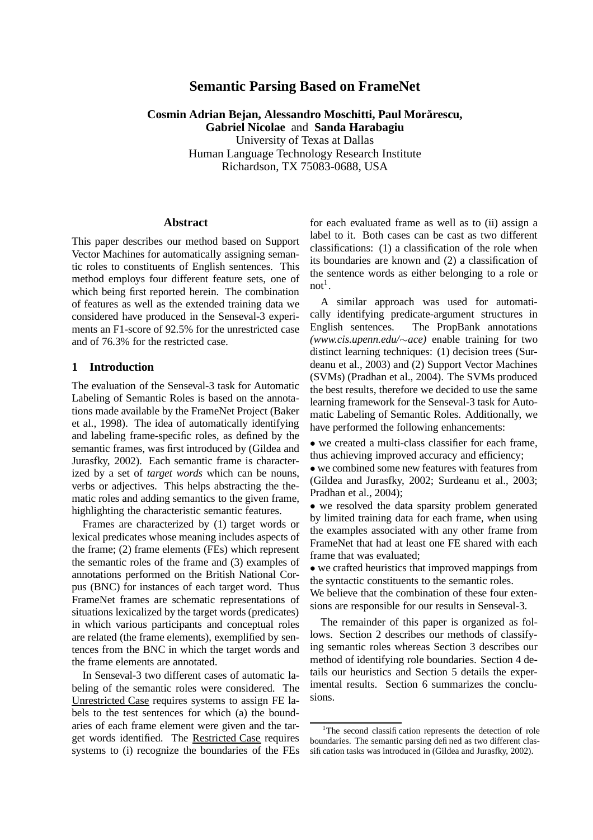# **Semantic Parsing Based on FrameNet**

**Cosmin Adrian Bejan, Alessandro Moschitti, Paul Morar˘ escu, Gabriel Nicolae** and **Sanda Harabagiu**

University of Texas at Dallas Human Language Technology Research Institute Richardson, TX 75083-0688, USA

### **Abstract**

This paper describes our method based on Support Vector Machines for automatically assigning semantic roles to constituents of English sentences. This method employs four different feature sets, one of which being first reported herein. The combination of features as well as the extended training data we considered have produced in the Senseval-3 experiments an F1-score of 92.5% for the unrestricted case and of 76.3% for the restricted case.

### **1 Introduction**

The evaluation of the Senseval-3 task for Automatic Labeling of Semantic Roles is based on the annotations made available by the FrameNet Project (Baker et al., 1998). The idea of automatically identifying and labeling frame-specific roles, as defined by the semantic frames, was first introduced by (Gildea and Jurasfky, 2002). Each semantic frame is characterized by a set of *target words* which can be nouns, verbs or adjectives. This helps abstracting the thematic roles and adding semantics to the given frame, highlighting the characteristic semantic features.

Frames are characterized by (1) target words or lexical predicates whose meaning includes aspects of the frame; (2) frame elements (FEs) which represent the semantic roles of the frame and (3) examples of annotations performed on the British National Corpus (BNC) for instances of each target word. Thus FrameNet frames are schematic representations of situations lexicalized by the target words (predicates) in which various participants and conceptual roles are related (the frame elements), exemplified by sentences from the BNC in which the target words and the frame elements are annotated.

In Senseval-3 two different cases of automatic labeling of the semantic roles were considered. The Unrestricted Case requires systems to assign FE labels to the test sentences for which (a) the boundaries of each frame element were given and the target words identified. The Restricted Case requires systems to (i) recognize the boundaries of the FEs for each evaluated frame as well as to (ii) assign a label to it. Both cases can be cast as two different classifications: (1) a classification of the role when its boundaries are known and (2) a classification of the sentence words as either belonging to a role or  $not<sup>1</sup>$ .

A similar approach was used for automatically identifying predicate-argument structures in English sentences. The PropBank annotations *(www.cis.upenn.edu/*∼*ace)* enable training for two distinct learning techniques: (1) decision trees (Surdeanu et al., 2003) and (2) Support Vector Machines (SVMs) (Pradhan et al., 2004). The SVMs produced the best results, therefore we decided to use the same learning framework for the Senseval-3 task for Automatic Labeling of Semantic Roles. Additionally, we have performed the following enhancements:

• we created a multi-class classifier for each frame, thus achieving improved accuracy and efficiency;

• we combined some new features with features from (Gildea and Jurasfky, 2002; Surdeanu et al., 2003; Pradhan et al., 2004);

• we resolved the data sparsity problem generated by limited training data for each frame, when using the examples associated with any other frame from FrameNet that had at least one FE shared with each frame that was evaluated;

• we crafted heuristics that improved mappings from the syntactic constituents to the semantic roles.

We believe that the combination of these four extensions are responsible for our results in Senseval-3.

The remainder of this paper is organized as follows. Section 2 describes our methods of classifying semantic roles whereas Section 3 describes our method of identifying role boundaries. Section 4 details our heuristics and Section 5 details the experimental results. Section 6 summarizes the conclusions.

<sup>&</sup>lt;sup>1</sup>The second classification represents the detection of role boundaries. The semantic parsing defined as two different classification tasks was introduced in (Gildea and Jurasfky, 2002).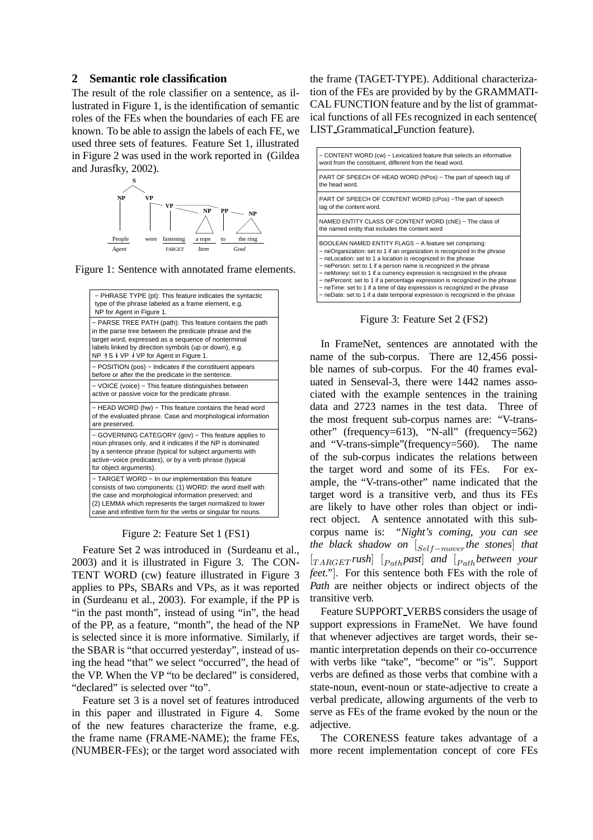### **2 Semantic role classification**

The result of the role classifier on a sentence, as illustrated in Figure 1, is the identification of semantic roles of the FEs when the boundaries of each FE are known. To be able to assign the labels of each FE, we used three sets of features. Feature Set 1, illustrated in Figure 2 was used in the work reported in (Gildea and Jurasfky, 2002).



Figure 1: Sentence with annotated frame elements.



Figure 2: Feature Set 1 (FS1)

Feature Set 2 was introduced in (Surdeanu et al., 2003) and it is illustrated in Figure 3. The CON-TENT WORD (cw) feature illustrated in Figure 3 applies to PPs, SBARs and VPs, as it was reported in (Surdeanu et al., 2003). For example, if the PP is "in the past month", instead of using "in", the head of the PP, as a feature, "month", the head of the NP is selected since it is more informative. Similarly, if the SBAR is "that occurred yesterday", instead of using the head "that" we select "occurred", the head of the VP. When the VP "to be declared" is considered, "declared" is selected over "to".

Feature set 3 is a novel set of features introduced in this paper and illustrated in Figure 4. Some of the new features characterize the frame, e.g. the frame name (FRAME-NAME); the frame FEs, (NUMBER-FEs); or the target word associated with the frame (TAGET-TYPE). Additional characterization of the FEs are provided by by the GRAMMATI-CAL FUNCTION feature and by the list of grammatical functions of all FEs recognized in each sentence( LIST Grammatical Function feature).



Figure 3: Feature Set 2 (FS2)

In FrameNet, sentences are annotated with the name of the sub-corpus. There are 12,456 possible names of sub-corpus. For the 40 frames evaluated in Senseval-3, there were 1442 names associated with the example sentences in the training data and 2723 names in the test data. Three of the most frequent sub-corpus names are: "V-transother" (frequency=613), "N-all" (frequency=562) and "V-trans-simple"(frequency=560). The name of the sub-corpus indicates the relations between the target word and some of its FEs. For example, the "V-trans-other" name indicated that the target word is a transitive verb, and thus its FEs are likely to have other roles than object or indirect object. A sentence annotated with this subcorpus name is: *"Night's coming, you can see the black shadow on*  $[<sub>Self</sub> −<sub>move</sub>$ *the stones*] *that* [TARGET *rush*] [Path*past*] *and* [Path*between your feet."*]. For this sentence both FEs with the role of *Path* are neither objects or indirect objects of the transitive verb.

Feature SUPPORT VERBS considers the usage of support expressions in FrameNet. We have found that whenever adjectives are target words, their semantic interpretation depends on their co-occurrence with verbs like "take", "become" or "is". Support verbs are defined as those verbs that combine with a state-noun, event-noun or state-adjective to create a verbal predicate, allowing arguments of the verb to serve as FEs of the frame evoked by the noun or the adiective.

The CORENESS feature takes advantage of a more recent implementation concept of core FEs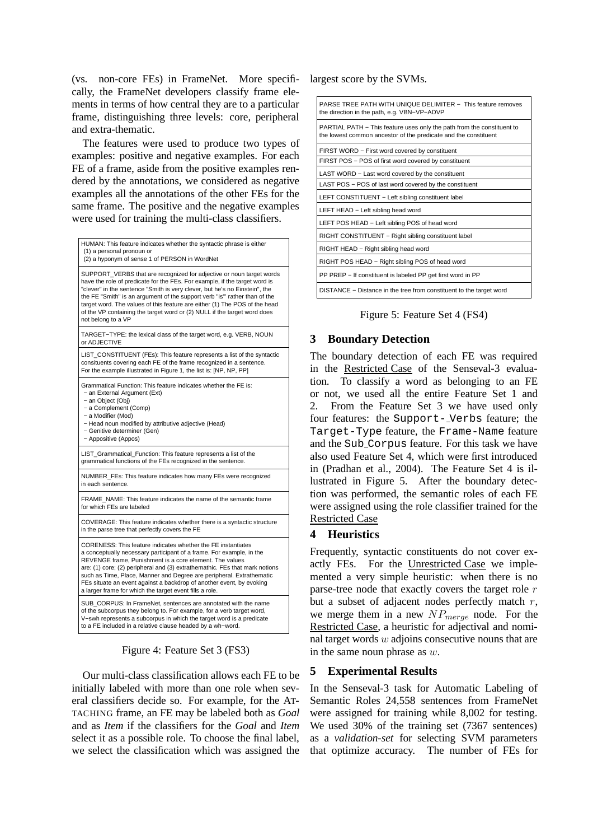(vs. non-core FEs) in FrameNet. More specifically, the FrameNet developers classify frame elements in terms of how central they are to a particular frame, distinguishing three levels: core, peripheral and extra-thematic.

The features were used to produce two types of examples: positive and negative examples. For each FE of a frame, aside from the positive examples rendered by the annotations, we considered as negative examples all the annotations of the other FEs for the same frame. The positive and the negative examples were used for training the multi-class classifiers.

| HUMAN: This feature indicates whether the syntactic phrase is either<br>(1) a personal pronoun or<br>(2) a hyponym of sense 1 of PERSON in WordNet                                                                                                                                                                                                                                                                                                                                             |
|------------------------------------------------------------------------------------------------------------------------------------------------------------------------------------------------------------------------------------------------------------------------------------------------------------------------------------------------------------------------------------------------------------------------------------------------------------------------------------------------|
| SUPPORT VERBS that are recognized for adjective or noun target words<br>have the role of predicate for the FEs. For example, if the target word is<br>"clever" in the sentence "Smith is very clever, but he's no Einstein", the<br>the FE "Smith" is an argument of the support verb "is"' rather than of the<br>target word. The values of this feature are either (1) The POS of the head<br>of the VP containing the target word or (2) NULL if the target word does<br>not belong to a VP |
| TARGET-TYPE: the lexical class of the target word, e.g. VERB, NOUN<br>or ADJECTIVE                                                                                                                                                                                                                                                                                                                                                                                                             |
| LIST_CONSTITUENT (FEs): This feature represents a list of the syntactic<br>consituents covering each FE of the frame recognized in a sentence.<br>For the example illustrated in Figure 1, the list is: [NP, NP, PP]                                                                                                                                                                                                                                                                           |
| Grammatical Function: This feature indicates whether the FE is:<br>- an External Argument (Ext)<br>- an Object (Obj)<br>- a Complement (Comp)<br>- a Modifier (Mod)<br>- Head noun modified by attributive adjective (Head)<br>- Genitive determiner (Gen)<br>- Appositive (Appos)                                                                                                                                                                                                             |
| LIST_Grammatical_Function: This feature represents a list of the<br>grammatical functions of the FEs recognized in the sentence.                                                                                                                                                                                                                                                                                                                                                               |
| NUMBER FEs: This feature indicates how many FEs were recognized<br>in each sentence.                                                                                                                                                                                                                                                                                                                                                                                                           |
| FRAME NAME: This feature indicates the name of the semantic frame<br>for which FEs are labeled                                                                                                                                                                                                                                                                                                                                                                                                 |
| COVERAGE: This feature indicates whether there is a syntactic structure<br>in the parse tree that perfectly covers the FE                                                                                                                                                                                                                                                                                                                                                                      |
| CORENESS: This feature indicates whether the FE instantiates<br>a conceptually necessary participant of a frame. For example, in the<br>REVENGE frame, Punishment is a core element. The values<br>are: (1) core; (2) peripheral and (3) extrathemathic. FEs that mark notions<br>such as Time, Place, Manner and Degree are peripheral. Extrathematic<br>FEs situate an event against a backdrop of another event, by evoking<br>a larger frame for which the target event fills a role.      |
| SUB CORPUS: In FrameNet, sentences are annotated with the name<br>of the subcorpus they belong to. For example, for a verb target word,<br>V-swh represents a subcorpus in which the target word is a predicate<br>to a FE included in a relative clause headed by a wh-word.                                                                                                                                                                                                                  |

Figure 4: Feature Set 3 (FS3)

Our multi-class classification allows each FE to be initially labeled with more than one role when several classifiers decide so. For example, for the AT-TACHING frame, an FE may be labeled both as *Goal* and as *Item* if the classifiers for the *Goal* and *Item* select it as a possible role. To choose the final label, we select the classification which was assigned the largest score by the SVMs.

| PARSE TREE PATH WITH UNIQUE DELIMITER - This feature removes<br>the direction in the path, e.g. VBN-VP-ADVP                               |
|-------------------------------------------------------------------------------------------------------------------------------------------|
| PARTIAL PATH – This feature uses only the path from the constituent to<br>the lowest common ancestor of the predicate and the constituent |
| FIRST WORD – First word covered by constituent                                                                                            |
| FIRST POS - POS of first word covered by constituent                                                                                      |
| LAST WORD - Last word covered by the constituent                                                                                          |
| LAST POS – POS of last word covered by the constituent                                                                                    |
| LEFT CONSTITUENT - Left sibling constituent label                                                                                         |
| LEFT HEAD - Left sibling head word                                                                                                        |
| LEFT POS HEAD - Left sibling POS of head word                                                                                             |
| RIGHT CONSTITUENT - Right sibling constituent label                                                                                       |
| RIGHT HEAD - Right sibling head word                                                                                                      |
| RIGHT POS HEAD - Right sibling POS of head word                                                                                           |
| PP PREP – If constituent is labeled PP get first word in PP                                                                               |
| DISTANCE - Distance in the tree from constituent to the target word                                                                       |

Figure 5: Feature Set 4 (FS4)

## **3 Boundary Detection**

The boundary detection of each FE was required in the Restricted Case of the Senseval-3 evaluation. To classify a word as belonging to an FE or not, we used all the entire Feature Set 1 and 2. From the Feature Set 3 we have used only four features: the Support- Verbs feature; the Target-Type feature, the Frame-Name feature and the Sub Corpus feature. For this task we have also used Feature Set 4, which were first introduced in (Pradhan et al., 2004). The Feature Set 4 is illustrated in Figure 5. After the boundary detection was performed, the semantic roles of each FE were assigned using the role classifier trained for the Restricted Case

### **4 Heuristics**

Frequently, syntactic constituents do not cover exactly FEs. For the Unrestricted Case we implemented a very simple heuristic: when there is no parse-tree node that exactly covers the target role  $r$ but a subset of adjacent nodes perfectly match  $r$ , we merge them in a new  $NP_{merge}$  node. For the Restricted Case, a heuristic for adjectival and nominal target words  $w$  adjoins consecutive nouns that are in the same noun phrase as  $w$ .

# **5 Experimental Results**

In the Senseval-3 task for Automatic Labeling of Semantic Roles 24,558 sentences from FrameNet were assigned for training while 8,002 for testing. We used 30% of the training set (7367 sentences) as a *validation-set* for selecting SVM parameters that optimize accuracy. The number of FEs for